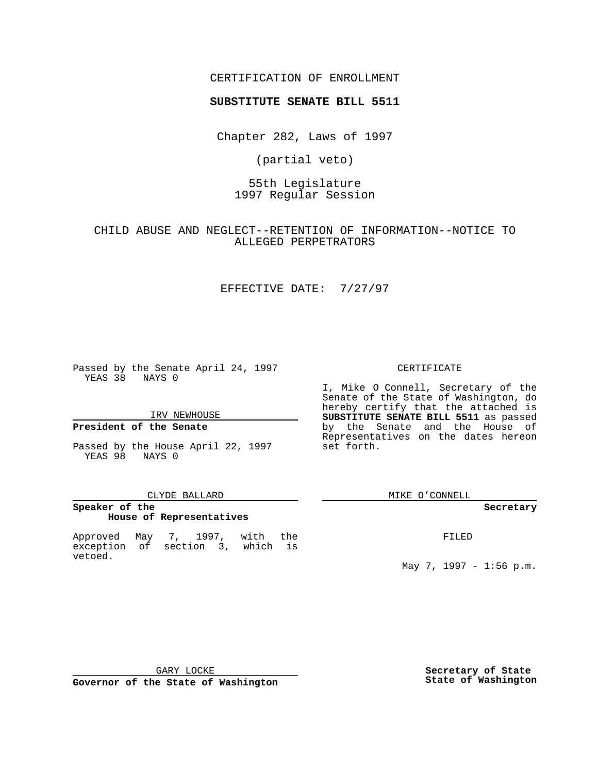### CERTIFICATION OF ENROLLMENT

# **SUBSTITUTE SENATE BILL 5511**

Chapter 282, Laws of 1997

(partial veto)

55th Legislature 1997 Regular Session

CHILD ABUSE AND NEGLECT--RETENTION OF INFORMATION--NOTICE TO ALLEGED PERPETRATORS

## EFFECTIVE DATE: 7/27/97

Passed by the Senate April 24, 1997 YEAS 38 NAYS 0

IRV NEWHOUSE

### **President of the Senate**

Passed by the House April 22, 1997 YEAS 98 NAYS 0

#### CLYDE BALLARD

## **Speaker of the House of Representatives**

Approved May 7, 1997, with the exception of section 3, which is vetoed.

#### CERTIFICATE

I, Mike O Connell, Secretary of the Senate of the State of Washington, do hereby certify that the attached is **SUBSTITUTE SENATE BILL 5511** as passed by the Senate and the House of Representatives on the dates hereon set forth.

MIKE O'CONNELL

#### **Secretary**

FILED

May 7, 1997 - 1:56 p.m.

GARY LOCKE

**Governor of the State of Washington**

**Secretary of State State of Washington**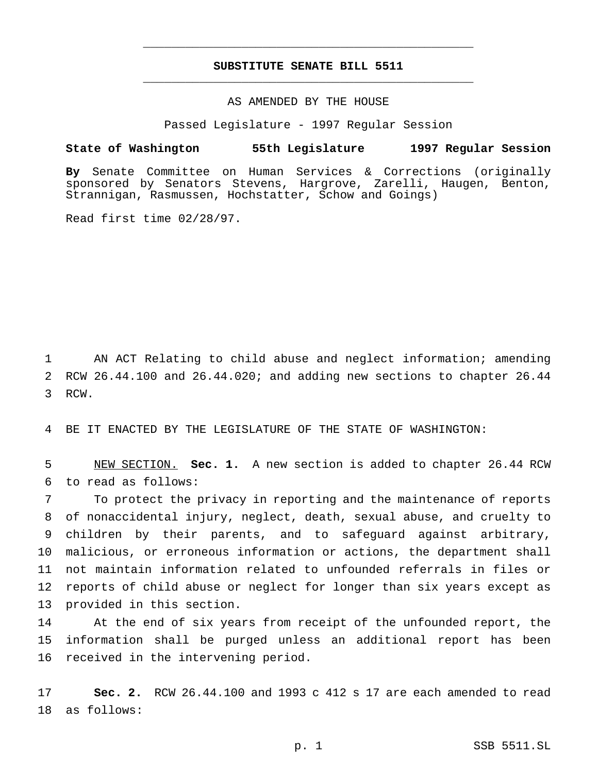## **SUBSTITUTE SENATE BILL 5511** \_\_\_\_\_\_\_\_\_\_\_\_\_\_\_\_\_\_\_\_\_\_\_\_\_\_\_\_\_\_\_\_\_\_\_\_\_\_\_\_\_\_\_\_\_\_\_

\_\_\_\_\_\_\_\_\_\_\_\_\_\_\_\_\_\_\_\_\_\_\_\_\_\_\_\_\_\_\_\_\_\_\_\_\_\_\_\_\_\_\_\_\_\_\_

### AS AMENDED BY THE HOUSE

Passed Legislature - 1997 Regular Session

#### **State of Washington 55th Legislature 1997 Regular Session**

**By** Senate Committee on Human Services & Corrections (originally sponsored by Senators Stevens, Hargrove, Zarelli, Haugen, Benton, Strannigan, Rasmussen, Hochstatter, Schow and Goings)

Read first time 02/28/97.

 AN ACT Relating to child abuse and neglect information; amending RCW 26.44.100 and 26.44.020; and adding new sections to chapter 26.44 RCW.

BE IT ENACTED BY THE LEGISLATURE OF THE STATE OF WASHINGTON:

 NEW SECTION. **Sec. 1.** A new section is added to chapter 26.44 RCW to read as follows:

 To protect the privacy in reporting and the maintenance of reports of nonaccidental injury, neglect, death, sexual abuse, and cruelty to children by their parents, and to safeguard against arbitrary, malicious, or erroneous information or actions, the department shall not maintain information related to unfounded referrals in files or reports of child abuse or neglect for longer than six years except as provided in this section.

 At the end of six years from receipt of the unfounded report, the information shall be purged unless an additional report has been received in the intervening period.

 **Sec. 2.** RCW 26.44.100 and 1993 c 412 s 17 are each amended to read as follows: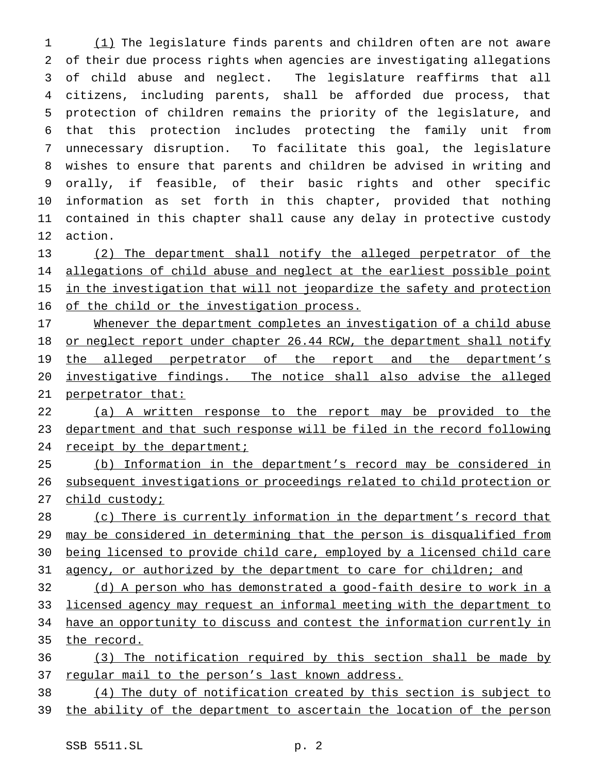1 (1) The legislature finds parents and children often are not aware of their due process rights when agencies are investigating allegations of child abuse and neglect. The legislature reaffirms that all citizens, including parents, shall be afforded due process, that protection of children remains the priority of the legislature, and that this protection includes protecting the family unit from unnecessary disruption. To facilitate this goal, the legislature wishes to ensure that parents and children be advised in writing and orally, if feasible, of their basic rights and other specific information as set forth in this chapter, provided that nothing contained in this chapter shall cause any delay in protective custody action.

 (2) The department shall notify the alleged perpetrator of the 14 allegations of child abuse and neglect at the earliest possible point 15 in the investigation that will not jeopardize the safety and protection 16 of the child or the investigation process.

 Whenever the department completes an investigation of a child abuse 18 or neglect report under chapter 26.44 RCW, the department shall notify 19 the alleged perpetrator of the report and the department's investigative findings. The notice shall also advise the alleged perpetrator that:

 (a) A written response to the report may be provided to the department and that such response will be filed in the record following 24 receipt by the department;

 (b) Information in the department's record may be considered in subsequent investigations or proceedings related to child protection or 27 child custody;

 (c) There is currently information in the department's record that may be considered in determining that the person is disqualified from being licensed to provide child care, employed by a licensed child care 31 agency, or authorized by the department to care for children; and

 (d) A person who has demonstrated a good-faith desire to work in a licensed agency may request an informal meeting with the department to have an opportunity to discuss and contest the information currently in the record.

 (3) The notification required by this section shall be made by 37 regular mail to the person's last known address.

(4) The duty of notification created by this section is subject to

the ability of the department to ascertain the location of the person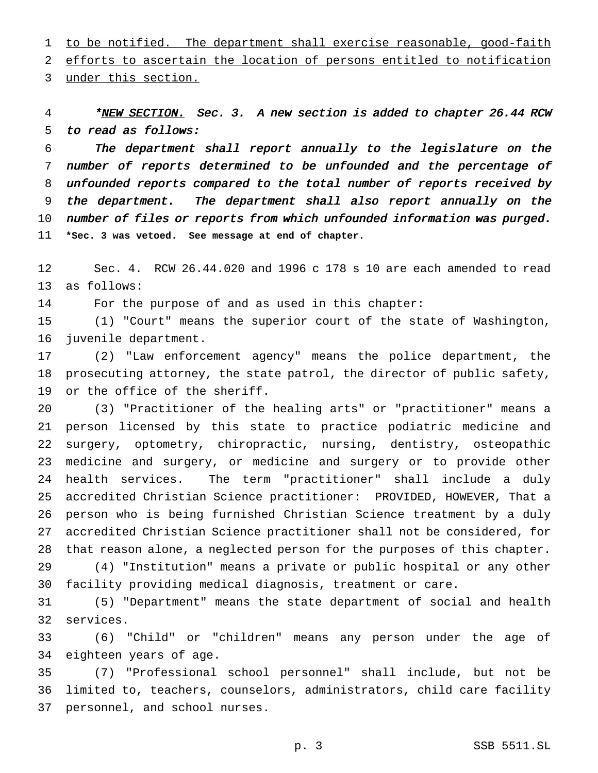1 to be notified. The department shall exercise reasonable, good-faith efforts to ascertain the location of persons entitled to notification

under this section.

4 \*NEW SECTION. Sec. 3. A new section is added to chapter 26.44 RCW to read as follows:

 The department shall report annually to the legislature on the number of reports determined to be unfounded and the percentage of unfounded reports compared to the total number of reports received by the department. The department shall also report annually on the number of files or reports from which unfounded information was purged. **\*Sec. 3 was vetoed. See message at end of chapter.**

 Sec. 4. RCW 26.44.020 and 1996 c 178 s 10 are each amended to read as follows:

For the purpose of and as used in this chapter:

 (1) "Court" means the superior court of the state of Washington, juvenile department.

 (2) "Law enforcement agency" means the police department, the prosecuting attorney, the state patrol, the director of public safety, or the office of the sheriff.

 (3) "Practitioner of the healing arts" or "practitioner" means a person licensed by this state to practice podiatric medicine and surgery, optometry, chiropractic, nursing, dentistry, osteopathic medicine and surgery, or medicine and surgery or to provide other health services. The term "practitioner" shall include a duly accredited Christian Science practitioner: PROVIDED, HOWEVER, That a person who is being furnished Christian Science treatment by a duly accredited Christian Science practitioner shall not be considered, for that reason alone, a neglected person for the purposes of this chapter. (4) "Institution" means a private or public hospital or any other

facility providing medical diagnosis, treatment or care.

 (5) "Department" means the state department of social and health services.

 (6) "Child" or "children" means any person under the age of eighteen years of age.

 (7) "Professional school personnel" shall include, but not be limited to, teachers, counselors, administrators, child care facility personnel, and school nurses.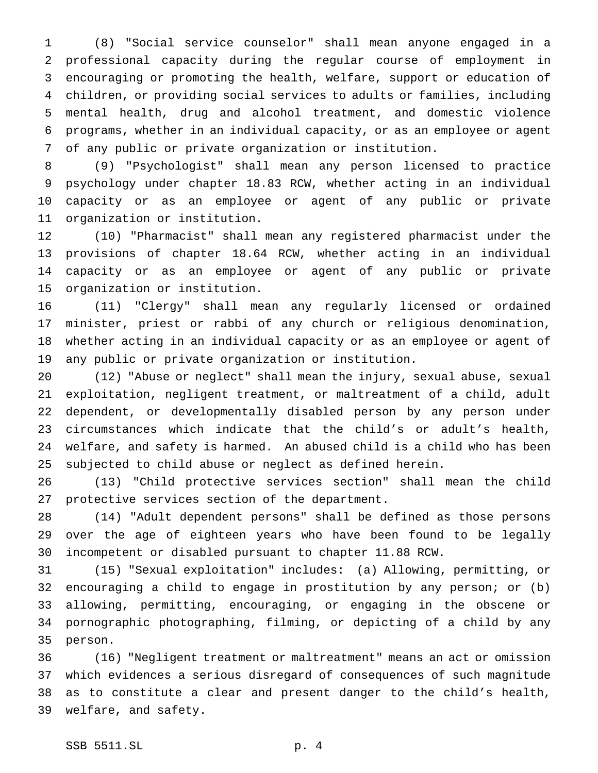(8) "Social service counselor" shall mean anyone engaged in a professional capacity during the regular course of employment in encouraging or promoting the health, welfare, support or education of children, or providing social services to adults or families, including mental health, drug and alcohol treatment, and domestic violence programs, whether in an individual capacity, or as an employee or agent of any public or private organization or institution.

 (9) "Psychologist" shall mean any person licensed to practice psychology under chapter 18.83 RCW, whether acting in an individual capacity or as an employee or agent of any public or private organization or institution.

 (10) "Pharmacist" shall mean any registered pharmacist under the provisions of chapter 18.64 RCW, whether acting in an individual capacity or as an employee or agent of any public or private organization or institution.

 (11) "Clergy" shall mean any regularly licensed or ordained minister, priest or rabbi of any church or religious denomination, whether acting in an individual capacity or as an employee or agent of any public or private organization or institution.

 (12) "Abuse or neglect" shall mean the injury, sexual abuse, sexual exploitation, negligent treatment, or maltreatment of a child, adult dependent, or developmentally disabled person by any person under circumstances which indicate that the child's or adult's health, welfare, and safety is harmed. An abused child is a child who has been subjected to child abuse or neglect as defined herein.

 (13) "Child protective services section" shall mean the child protective services section of the department.

 (14) "Adult dependent persons" shall be defined as those persons over the age of eighteen years who have been found to be legally incompetent or disabled pursuant to chapter 11.88 RCW.

 (15) "Sexual exploitation" includes: (a) Allowing, permitting, or encouraging a child to engage in prostitution by any person; or (b) allowing, permitting, encouraging, or engaging in the obscene or pornographic photographing, filming, or depicting of a child by any person.

 (16) "Negligent treatment or maltreatment" means an act or omission which evidences a serious disregard of consequences of such magnitude as to constitute a clear and present danger to the child's health, welfare, and safety.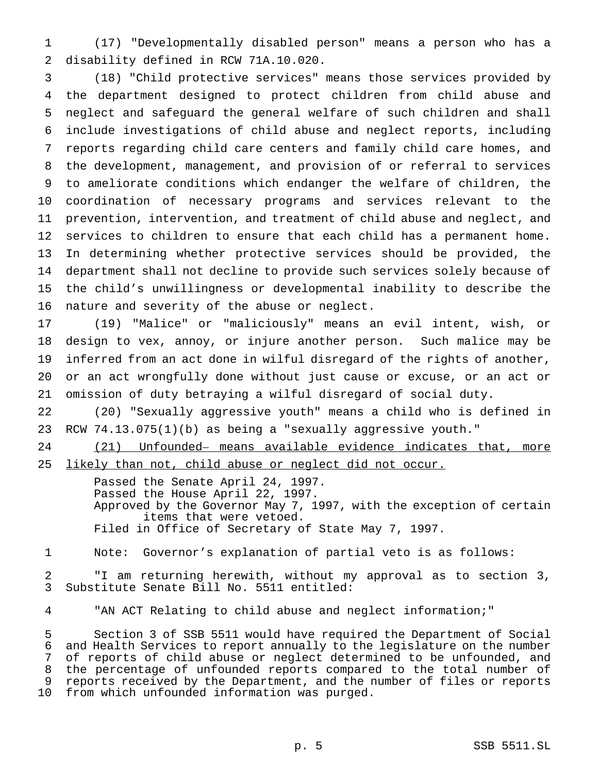(17) "Developmentally disabled person" means a person who has a disability defined in RCW 71A.10.020.

 (18) "Child protective services" means those services provided by the department designed to protect children from child abuse and neglect and safeguard the general welfare of such children and shall include investigations of child abuse and neglect reports, including reports regarding child care centers and family child care homes, and the development, management, and provision of or referral to services to ameliorate conditions which endanger the welfare of children, the coordination of necessary programs and services relevant to the prevention, intervention, and treatment of child abuse and neglect, and services to children to ensure that each child has a permanent home. In determining whether protective services should be provided, the department shall not decline to provide such services solely because of the child's unwillingness or developmental inability to describe the nature and severity of the abuse or neglect.

 (19) "Malice" or "maliciously" means an evil intent, wish, or design to vex, annoy, or injure another person. Such malice may be inferred from an act done in wilful disregard of the rights of another, or an act wrongfully done without just cause or excuse, or an act or omission of duty betraying a wilful disregard of social duty.

 (20) "Sexually aggressive youth" means a child who is defined in RCW 74.13.075(1)(b) as being a "sexually aggressive youth."

 (21) Unfounded– means available evidence indicates that, more 25 likely than not, child abuse or neglect did not occur.

> Passed the Senate April 24, 1997. Passed the House April 22, 1997. Approved by the Governor May 7, 1997, with the exception of certain items that were vetoed. Filed in Office of Secretary of State May 7, 1997.

Note: Governor's explanation of partial veto is as follows:

 "I am returning herewith, without my approval as to section 3, Substitute Senate Bill No. 5511 entitled:

"AN ACT Relating to child abuse and neglect information;"

 Section 3 of SSB 5511 would have required the Department of Social and Health Services to report annually to the legislature on the number of reports of child abuse or neglect determined to be unfounded, and the percentage of unfounded reports compared to the total number of reports received by the Department, and the number of files or reports from which unfounded information was purged.